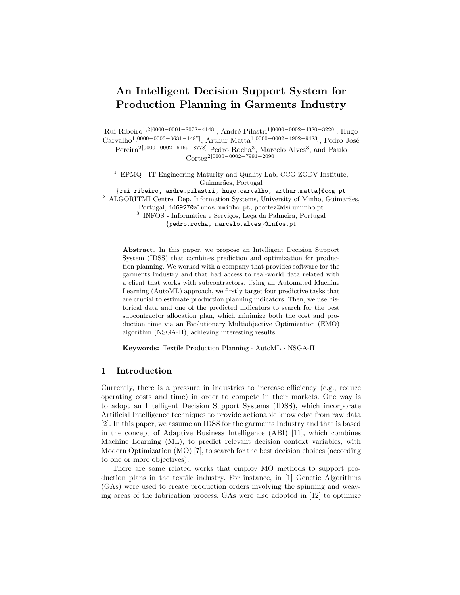# An Intelligent Decision Support System for Production Planning in Garments Industry

Rui Ribeiro<sup>1,2</sup>[0000−0001−8078−4148], André Pilastri<sup>1</sup>[0000−0002−4380−3220], Hugo Carvalho<sup>1[0000–0003–3631–1487]</sup>, Arthur Matta<sup>1[0000–0002–4902–9483]</sup>, Pedro José Pereira<sup>2</sup><sup>[0000–0002–6169–8778]</sup> Pedro Rocha<sup>3</sup>, Marcelo Alves<sup>3</sup>, and Paulo Cortez2[0000−0002−7991−2090]

<sup>1</sup> EPMQ - IT Engineering Maturity and Quality Lab, CCG ZGDV Institute, Guimarães, Portugal

{rui.ribeiro, andre.pilastri, hugo.carvalho, arthur.matta}@ccg.pt <sup>2</sup> ALGORITMI Centre, Dep. Information Systems, University of Minho, Guimarães,

Portugal, id6927@alunos.uminho.pt, pcortez@dsi.uminho.pt

<sup>3</sup> INFOS - Informática e Serviços, Leça da Palmeira, Portugal {pedro.rocha, marcelo.alves}@infos.pt

Abstract. In this paper, we propose an Intelligent Decision Support System (IDSS) that combines prediction and optimization for production planning. We worked with a company that provides software for the garments Industry and that had access to real-world data related with a client that works with subcontractors. Using an Automated Machine Learning (AutoML) approach, we firstly target four predictive tasks that are crucial to estimate production planning indicators. Then, we use historical data and one of the predicted indicators to search for the best subcontractor allocation plan, which minimize both the cost and production time via an Evolutionary Multiobjective Optimization (EMO) algorithm (NSGA-II), achieving interesting results.

Keywords: Textile Production Planning · AutoML · NSGA-II

# 1 Introduction

Currently, there is a pressure in industries to increase efficiency (e.g., reduce operating costs and time) in order to compete in their markets. One way is to adopt an Intelligent Decision Support Systems (IDSS), which incorporate Artificial Intelligence techniques to provide actionable knowledge from raw data [2]. In this paper, we assume an IDSS for the garments Industry and that is based in the concept of Adaptive Business Intelligence (ABI) [11], which combines Machine Learning (ML), to predict relevant decision context variables, with Modern Optimization (MO) [7], to search for the best decision choices (according to one or more objectives).

There are some related works that employ MO methods to support production plans in the textile industry. For instance, in [1] Genetic Algorithms (GAs) were used to create production orders involving the spinning and weaving areas of the fabrication process. GAs were also adopted in [12] to optimize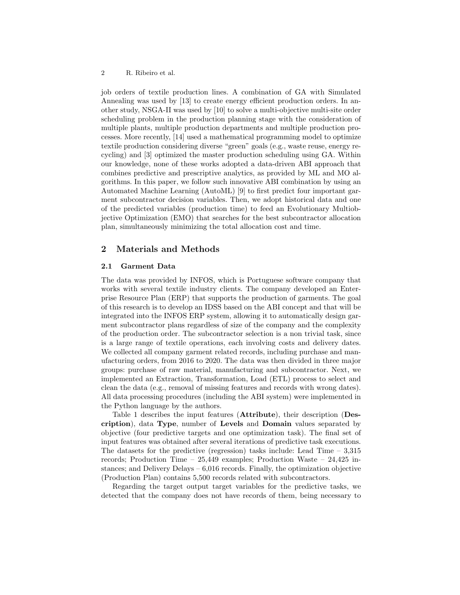job orders of textile production lines. A combination of GA with Simulated Annealing was used by [13] to create energy efficient production orders. In another study, NSGA-II was used by [10] to solve a multi-objective multi-site order scheduling problem in the production planning stage with the consideration of multiple plants, multiple production departments and multiple production processes. More recently, [14] used a mathematical programming model to optimize textile production considering diverse "green" goals (e.g., waste reuse, energy recycling) and [3] optimized the master production scheduling using GA. Within our knowledge, none of these works adopted a data-driven ABI approach that combines predictive and prescriptive analytics, as provided by ML and MO algorithms. In this paper, we follow such innovative ABI combination by using an Automated Machine Learning (AutoML) [9] to first predict four important garment subcontractor decision variables. Then, we adopt historical data and one of the predicted variables (production time) to feed an Evolutionary Multiobjective Optimization (EMO) that searches for the best subcontractor allocation plan, simultaneously minimizing the total allocation cost and time.

## 2 Materials and Methods

### 2.1 Garment Data

The data was provided by INFOS, which is Portuguese software company that works with several textile industry clients. The company developed an Enterprise Resource Plan (ERP) that supports the production of garments. The goal of this research is to develop an IDSS based on the ABI concept and that will be integrated into the INFOS ERP system, allowing it to automatically design garment subcontractor plans regardless of size of the company and the complexity of the production order. The subcontractor selection is a non trivial task, since is a large range of textile operations, each involving costs and delivery dates. We collected all company garment related records, including purchase and manufacturing orders, from 2016 to 2020. The data was then divided in three major groups: purchase of raw material, manufacturing and subcontractor. Next, we implemented an Extraction, Transformation, Load (ETL) process to select and clean the data (e.g., removal of missing features and records with wrong dates). All data processing procedures (including the ABI system) were implemented in the Python language by the authors.

Table 1 describes the input features (Attribute), their description (Description), data Type, number of Levels and Domain values separated by objective (four predictive targets and one optimization task). The final set of input features was obtained after several iterations of predictive task executions. The datasets for the predictive (regression) tasks include: Lead Time  $-3,315$ records; Production Time – 25,449 examples; Production Waste – 24,425 instances; and Delivery Delays  $-6,016$  records. Finally, the optimization objective (Production Plan) contains 5,500 records related with subcontractors.

Regarding the target output target variables for the predictive tasks, we detected that the company does not have records of them, being necessary to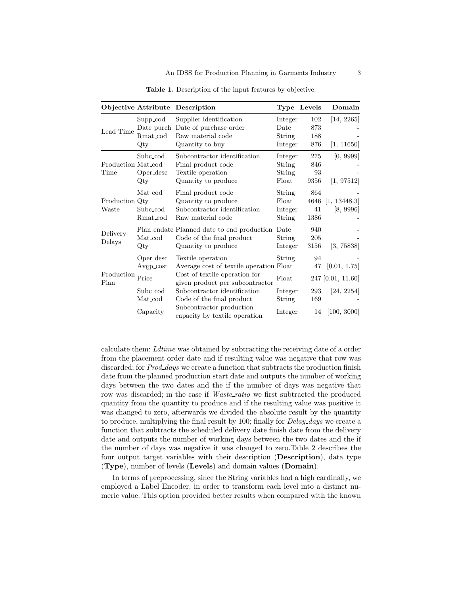|                            |                        | Objective Attribute Description                                  |                          | Type Levels | Domain            |
|----------------------------|------------------------|------------------------------------------------------------------|--------------------------|-------------|-------------------|
| Lead Time                  | Supp_cod<br>Date_purch | Supplier identification<br>Date of purchase order                | Integer<br>Date          | 102<br>873  | [14, 2265]        |
|                            | Rmat_cod               | Raw material code                                                |                          | 188         |                   |
|                            | Qty                    | Quantity to buy                                                  | <b>String</b><br>Integer | 876         | [1, 11650]        |
| Production Mat_cod<br>Time | Subc cod               | Subcontractor identification                                     | Integer                  | 275         | [0, 9999]         |
|                            |                        | Final product code                                               | String                   | 846         |                   |
|                            | Oper_desc              | Textile operation                                                | String                   | 93          |                   |
|                            | Qty                    | Quantity to produce                                              | Float                    | 9356        | [1, 97512]        |
| Production Qty<br>Waste    | Mat cod                | Final product code                                               | String                   | 864         |                   |
|                            |                        | Quantity to produce                                              | Float                    | 4646        | [1, 13448.3]      |
|                            | Subc_cod               | Subcontractor identification                                     | Integer                  | 41          | [8, 9996]         |
|                            | Rmat_cod               | Raw material code                                                | String                   | 1386        |                   |
| Delivery<br>Delays         |                        | Plan-endate Planned date to end production Date                  |                          | 940         |                   |
|                            | Mat_cod                | Code of the final product                                        | String                   | 205         |                   |
|                            | Qty                    | Quantity to produce                                              | Integer                  | 3156        | [3, 75838]        |
| Production<br>Plan         | Oper_desc              | Textile operation                                                | String                   | 94          |                   |
|                            | $Avgp-cost$            | Average cost of textile operation Float                          |                          | 47          | [0.01, 1.75]      |
|                            | $\operatorname{Price}$ | Cost of textile operation for<br>given product per subcontractor | Float                    |             | 247 [0.01, 11.60] |
|                            | Subc <sub>cod</sub>    | Subcontractor identification                                     | Integer                  | 293         | [24, 2254]        |
|                            | Mat_cod                | Code of the final product                                        | String                   | 169         |                   |
|                            | Capacity               | Subcontractor production<br>capacity by textile operation        | Integer                  | 14          | [100, 3000]       |

Table 1. Description of the input features by objective.

calculate them: Ldtime was obtained by subtracting the receiving date of a order from the placement order date and if resulting value was negative that row was discarded; for Prod\_days we create a function that subtracts the production finish date from the planned production start date and outputs the number of working days between the two dates and the if the number of days was negative that row was discarded; in the case if *Waste\_ratio* we first subtracted the produced quantity from the quantity to produce and if the resulting value was positive it was changed to zero, afterwards we divided the absolute result by the quantity to produce, multiplying the final result by 100; finally for *Delay\_days* we create a function that subtracts the scheduled delivery date finish date from the delivery date and outputs the number of working days between the two dates and the if the number of days was negative it was changed to zero.Table 2 describes the four output target variables with their description (Description), data type (Type), number of levels (Levels) and domain values (Domain).

In terms of preprocessing, since the String variables had a high cardinally, we employed a Label Encoder, in order to transform each level into a distinct numeric value. This option provided better results when compared with the known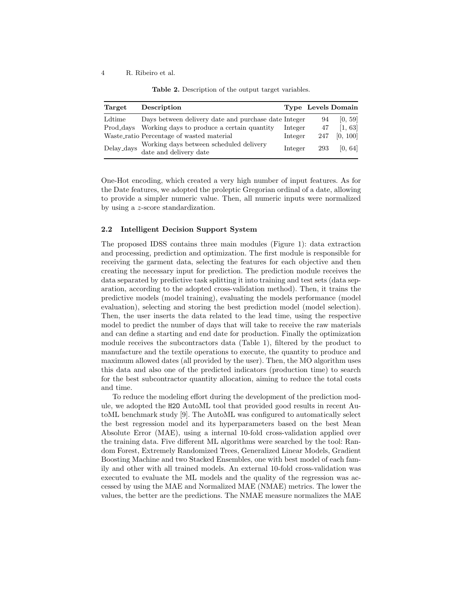#### 4 R. Ribeiro et al.

| Target     | Description                                                       |         |     | <b>Type</b> Levels Domain |
|------------|-------------------------------------------------------------------|---------|-----|---------------------------|
| Ldtime     | Days between delivery date and purchase date Integer              |         | 94  | [0, 59]                   |
|            | Prod_days Working days to produce a certain quantity              | Integer | 47  | [1, 63]                   |
|            | Waste <sub>ratio</sub> Percentage of wasted material              | Integer | 247 | [0, 100]                  |
| Delay_days | Working days between scheduled delivery<br>date and delivery date | Integer | 293 | [0, 64]                   |

Table 2. Description of the output target variables.

One-Hot encoding, which created a very high number of input features. As for the Date features, we adopted the proleptic Gregorian ordinal of a date, allowing to provide a simpler numeric value. Then, all numeric inputs were normalized by using a z-score standardization.

#### 2.2 Intelligent Decision Support System

The proposed IDSS contains three main modules (Figure 1): data extraction and processing, prediction and optimization. The first module is responsible for receiving the garment data, selecting the features for each objective and then creating the necessary input for prediction. The prediction module receives the data separated by predictive task splitting it into training and test sets (data separation, according to the adopted cross-validation method). Then, it trains the predictive models (model training), evaluating the models performance (model evaluation), selecting and storing the best prediction model (model selection). Then, the user inserts the data related to the lead time, using the respective model to predict the number of days that will take to receive the raw materials and can define a starting and end date for production. Finally the optimization module receives the subcontractors data (Table 1), filtered by the product to manufacture and the textile operations to execute, the quantity to produce and maximum allowed dates (all provided by the user). Then, the MO algorithm uses this data and also one of the predicted indicators (production time) to search for the best subcontractor quantity allocation, aiming to reduce the total costs and time.

To reduce the modeling effort during the development of the prediction module, we adopted the H2O AutoML tool that provided good results in recent AutoML benchmark study [9]. The AutoML was configured to automatically select the best regression model and its hyperparameters based on the best Mean Absolute Error (MAE), using a internal 10-fold cross-validation applied over the training data. Five different ML algorithms were searched by the tool: Random Forest, Extremely Randomized Trees, Generalized Linear Models, Gradient Boosting Machine and two Stacked Ensembles, one with best model of each family and other with all trained models. An external 10-fold cross-validation was executed to evaluate the ML models and the quality of the regression was accessed by using the MAE and Normalized MAE (NMAE) metrics. The lower the values, the better are the predictions. The NMAE measure normalizes the MAE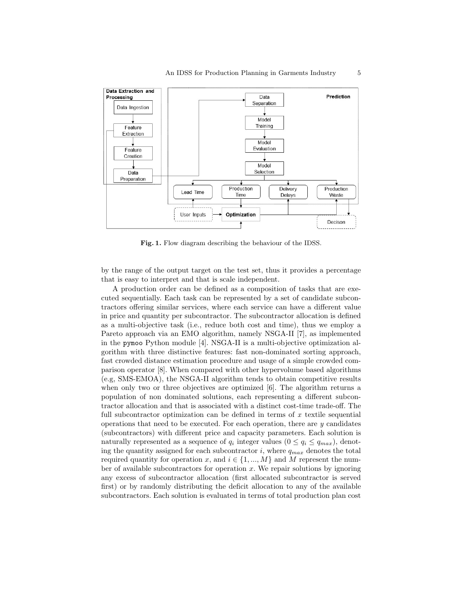

Fig. 1. Flow diagram describing the behaviour of the IDSS.

by the range of the output target on the test set, thus it provides a percentage that is easy to interpret and that is scale independent.

A production order can be defined as a composition of tasks that are executed sequentially. Each task can be represented by a set of candidate subcontractors offering similar services, where each service can have a different value in price and quantity per subcontractor. The subcontractor allocation is defined as a multi-objective task (i.e., reduce both cost and time), thus we employ a Pareto approach via an EMO algorithm, namely NSGA-II [7], as implemented in the pymoo Python module [4]. NSGA-II is a multi-objective optimization algorithm with three distinctive features: fast non-dominated sorting approach, fast crowded distance estimation procedure and usage of a simple crowded comparison operator [8]. When compared with other hypervolume based algorithms (e.g, SMS-EMOA), the NSGA-II algorithm tends to obtain competitive results when only two or three objectives are optimized [6]. The algorithm returns a population of non dominated solutions, each representing a different subcontractor allocation and that is associated with a distinct cost-time trade-off. The full subcontractor optimization can be defined in terms of x textile sequential operations that need to be executed. For each operation, there are  $y$  candidates (subcontractors) with different price and capacity parameters. Each solution is naturally represented as a sequence of  $q_i$  integer values  $(0 \leq q_i \leq q_{max})$ , denoting the quantity assigned for each subcontractor i, where  $q_{max}$  denotes the total required quantity for operation x, and  $i \in \{1, ..., M\}$  and M represent the number of available subcontractors for operation  $x$ . We repair solutions by ignoring any excess of subcontractor allocation (first allocated subcontractor is served first) or by randomly distributing the deficit allocation to any of the available subcontractors. Each solution is evaluated in terms of total production plan cost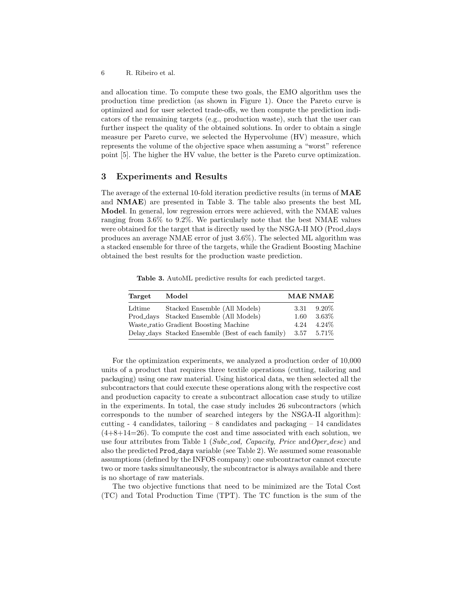6 R. Ribeiro et al.

and allocation time. To compute these two goals, the EMO algorithm uses the production time prediction (as shown in Figure 1). Once the Pareto curve is optimized and for user selected trade-offs, we then compute the prediction indicators of the remaining targets (e.g., production waste), such that the user can further inspect the quality of the obtained solutions. In order to obtain a single measure per Pareto curve, we selected the Hypervolume (HV) measure, which represents the volume of the objective space when assuming a "worst" reference point [5]. The higher the HV value, the better is the Pareto curve optimization.

## 3 Experiments and Results

The average of the external 10-fold iteration predictive results (in terms of MAE and NMAE) are presented in Table 3. The table also presents the best ML Model. In general, low regression errors were achieved, with the NMAE values ranging from 3.6% to 9.2%. We particularly note that the best NMAE values were obtained for the target that is directly used by the NSGA-II MO (Prod days produces an average NMAE error of just 3.6%). The selected ML algorithm was a stacked ensemble for three of the targets, while the Gradient Boosting Machine obtained the best results for the production waste prediction.

Table 3. AutoML predictive results for each predicted target.

| Target | Model                                             |      | <b>MAE NMAE</b> |
|--------|---------------------------------------------------|------|-----------------|
| Ldtime | Stacked Ensemble (All Models)                     | 3.31 | $9.20\%$        |
|        | Prod_days Stacked Ensemble (All Models)           | 1.60 | $3.63\%$        |
|        | Waste_ratio Gradient Boosting Machine             | 4.24 | 4.24\%          |
|        | Delay_days Stacked Ensemble (Best of each family) | 3.57 | $5.71\%$        |

For the optimization experiments, we analyzed a production order of 10,000 units of a product that requires three textile operations (cutting, tailoring and packaging) using one raw material. Using historical data, we then selected all the subcontractors that could execute these operations along with the respective cost and production capacity to create a subcontract allocation case study to utilize in the experiments. In total, the case study includes 26 subcontractors (which corresponds to the number of searched integers by the NSGA-II algorithm): cutting  $-4$  candidates, tailoring  $-8$  candidates and packaging  $-14$  candidates  $(4+8+14=26)$ . To compute the cost and time associated with each solution, we use four attributes from Table 1 (Subc<sub>cod, Capacity, Price and Oper-desc</sub>) and also the predicted Prod days variable (see Table 2). We assumed some reasonable assumptions (defined by the INFOS company): one subcontractor cannot execute two or more tasks simultaneously, the subcontractor is always available and there is no shortage of raw materials.

The two objective functions that need to be minimized are the Total Cost (TC) and Total Production Time (TPT). The TC function is the sum of the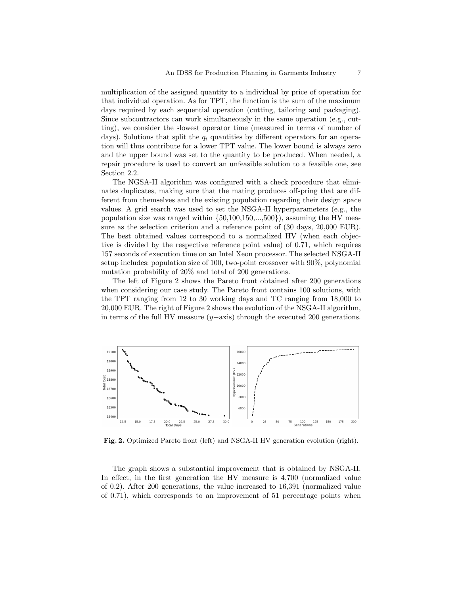multiplication of the assigned quantity to a individual by price of operation for that individual operation. As for TPT, the function is the sum of the maximum days required by each sequential operation (cutting, tailoring and packaging). Since subcontractors can work simultaneously in the same operation (e.g., cutting), we consider the slowest operator time (measured in terms of number of days). Solutions that split the  $q_i$  quantities by different operators for an operation will thus contribute for a lower TPT value. The lower bound is always zero and the upper bound was set to the quantity to be produced. When needed, a repair procedure is used to convert an unfeasible solution to a feasible one, see Section 2.2.

The NGSA-II algorithm was configured with a check procedure that eliminates duplicates, making sure that the mating produces offspring that are different from themselves and the existing population regarding their design space values. A grid search was used to set the NSGA-II hyperparameters (e.g., the population size was ranged within  $\{50,100,150,...,500\}$ , assuming the HV measure as the selection criterion and a reference point of (30 days, 20,000 EUR). The best obtained values correspond to a normalized HV (when each objective is divided by the respective reference point value) of 0.71, which requires 157 seconds of execution time on an Intel Xeon processor. The selected NSGA-II setup includes: population size of 100, two-point crossover with 90%, polynomial mutation probability of 20% and total of 200 generations.

The left of Figure 2 shows the Pareto front obtained after 200 generations when considering our case study. The Pareto front contains 100 solutions, with the TPT ranging from 12 to 30 working days and TC ranging from 18,000 to 20,000 EUR. The right of Figure 2 shows the evolution of the NSGA-II algorithm, in terms of the full HV measure  $(y-\text{axis})$  through the executed 200 generations.



Fig. 2. Optimized Pareto front (left) and NSGA-II HV generation evolution (right).

The graph shows a substantial improvement that is obtained by NSGA-II. In effect, in the first generation the HV measure is 4,700 (normalized value of 0.2). After 200 generations, the value increased to 16,391 (normalized value of 0.71), which corresponds to an improvement of 51 percentage points when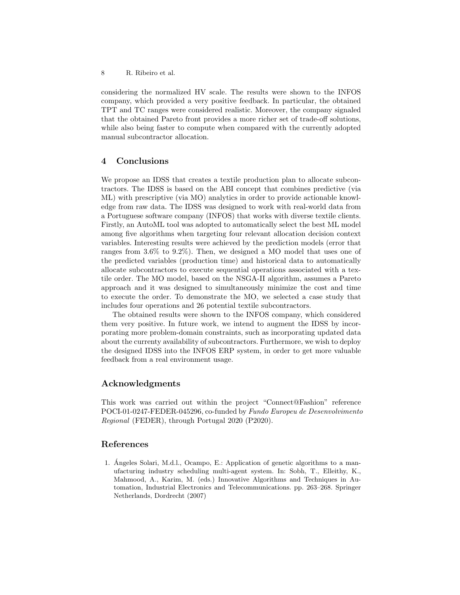considering the normalized HV scale. The results were shown to the INFOS company, which provided a very positive feedback. In particular, the obtained TPT and TC ranges were considered realistic. Moreover, the company signaled that the obtained Pareto front provides a more richer set of trade-off solutions, while also being faster to compute when compared with the currently adopted manual subcontractor allocation.

## 4 Conclusions

We propose an IDSS that creates a textile production plan to allocate subcontractors. The IDSS is based on the ABI concept that combines predictive (via ML) with prescriptive (via MO) analytics in order to provide actionable knowledge from raw data. The IDSS was designed to work with real-world data from a Portuguese software company (INFOS) that works with diverse textile clients. Firstly, an AutoML tool was adopted to automatically select the best ML model among five algorithms when targeting four relevant allocation decision context variables. Interesting results were achieved by the prediction models (error that ranges from 3.6% to 9.2%). Then, we designed a MO model that uses one of the predicted variables (production time) and historical data to automatically allocate subcontractors to execute sequential operations associated with a textile order. The MO model, based on the NSGA-II algorithm, assumes a Pareto approach and it was designed to simultaneously minimize the cost and time to execute the order. To demonstrate the MO, we selected a case study that includes four operations and 26 potential textile subcontractors.

The obtained results were shown to the INFOS company, which considered them very positive. In future work, we intend to augment the IDSS by incorporating more problem-domain constraints, such as incorporating updated data about the currenty availability of subcontractors. Furthermore, we wish to deploy the designed IDSS into the INFOS ERP system, in order to get more valuable feedback from a real environment usage.

# Acknowledgments

This work was carried out within the project "Connect@Fashion" reference POCI-01-0247-FEDER-045296, co-funded by Fundo Europeu de Desenvolvimento Regional (FEDER), through Portugal 2020 (P2020).

## References

1. Angeles Solari, M.d.l., Ocampo, E.: Application of genetic algorithms to a man- ´ ufacturing industry scheduling multi-agent system. In: Sobh, T., Elleithy, K., Mahmood, A., Karim, M. (eds.) Innovative Algorithms and Techniques in Automation, Industrial Electronics and Telecommunications. pp. 263–268. Springer Netherlands, Dordrecht (2007)